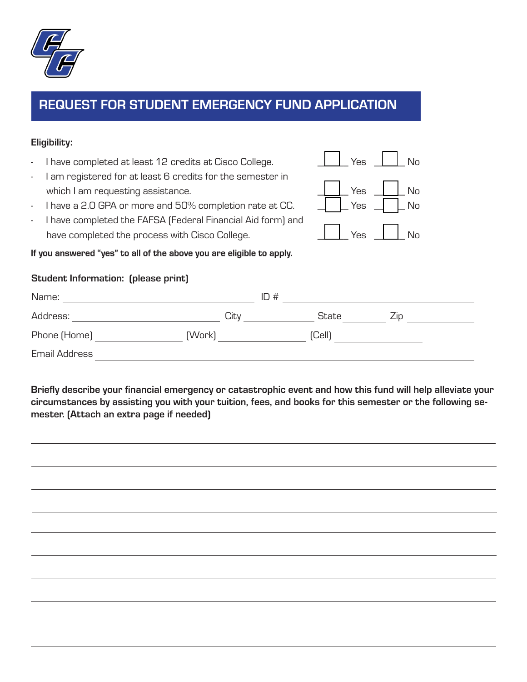

## REQUEST FOR STUDENT EMERGENCY FUND APPLICATION

## Eligibility:

I have completed at least 12 credits at Cisco College. I am registered for at least 6 credits for the semester in which I am requesting assistance. I have a 2.0 GPA or more and 50% completion rate at CC. - I have completed the FAFSA (Federal Financial Aid form) and have completed the process with Cisco College. If you answered "yes" to all of the above you are eligible to apply. Student Information: (please print) Name:  $\qquad \qquad \blacksquare$  ID #  $\qquad \qquad$ Address: <u>City City State</u> City State Zip Phone (Home) (Work) (Cell) Email Address Yes  $\vert$   $\vert$  No  $Yes \parallel \parallel No$ Yes  $\parallel$  No  $Y_{ES}$   $\parallel$   $\parallel$  No

Briefly describe your financial emergency or catastrophic event and how this fund will help alleviate your circumstances by assisting you with your tuition, fees, and books for this semester or the following semester. (Attach an extra page if needed)